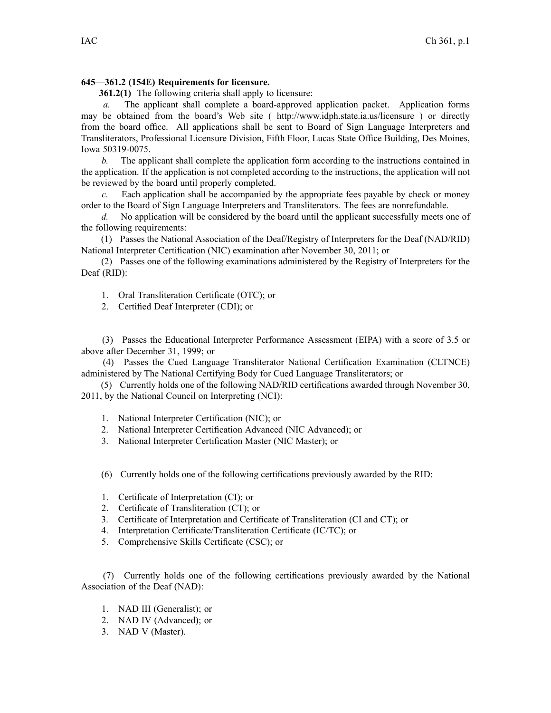## **645—361.2 (154E) Requirements for licensure.**

**361.2(1)** The following criteria shall apply to licensure:

*a.* The applicant shall complete <sup>a</sup> board-approved application packet. Application forms may be obtained from the board's Web site ( <http://www.idph.state.ia.us/licensure> ) or directly from the board office. All applications shall be sent to Board of Sign Language Interpreters and Transliterators, Professional Licensure Division, Fifth Floor, Lucas State Office Building, Des Moines, Iowa 50319-0075.

*b.* The applicant shall complete the application form according to the instructions contained in the application. If the application is not completed according to the instructions, the application will not be reviewed by the board until properly completed.

*c.* Each application shall be accompanied by the appropriate fees payable by check or money order to the Board of Sign Language Interpreters and Transliterators. The fees are nonrefundable.

*d.* No application will be considered by the board until the applicant successfully meets one of the following requirements:

(1) Passes the National Association of the Deaf/Registry of Interpreters for the Deaf (NAD/RID) National Interpreter Certification (NIC) examination after November 30, 2011; or

(2) Passes one of the following examinations administered by the Registry of Interpreters for the Deaf (RID):

- 1. Oral Transliteration Certificate (OTC); or
- 2. Certified Deaf Interpreter (CDI); or

(3) Passes the Educational Interpreter Performance Assessment (EIPA) with <sup>a</sup> score of 3.5 or above after December 31, 1999; or

(4) Passes the Cued Language Transliterator National Certification Examination (CLTNCE) administered by The National Certifying Body for Cued Language Transliterators; or

(5) Currently holds one of the following NAD/RID certifications awarded through November 30, 2011, by the National Council on Interpreting (NCI):

- 1. National Interpreter Certification (NIC); or
- 2. National Interpreter Certification Advanced (NIC Advanced); or
- 3. National Interpreter Certification Master (NIC Master); or
- (6) Currently holds one of the following certifications previously awarded by the RID:
- 1. Certificate of Interpretation (CI); or
- 2. Certificate of Transliteration (CT); or
- 3. Certificate of Interpretation and Certificate of Transliteration (CI and CT); or
- 4. Interpretation Certificate/Transliteration Certificate (IC/TC); or
- 5. Comprehensive Skills Certificate (CSC); or

(7) Currently holds one of the following certifications previously awarded by the National Association of the Deaf (NAD):

- 1. NAD III (Generalist); or
- 2. NAD IV (Advanced); or
- 3. NAD V (Master).